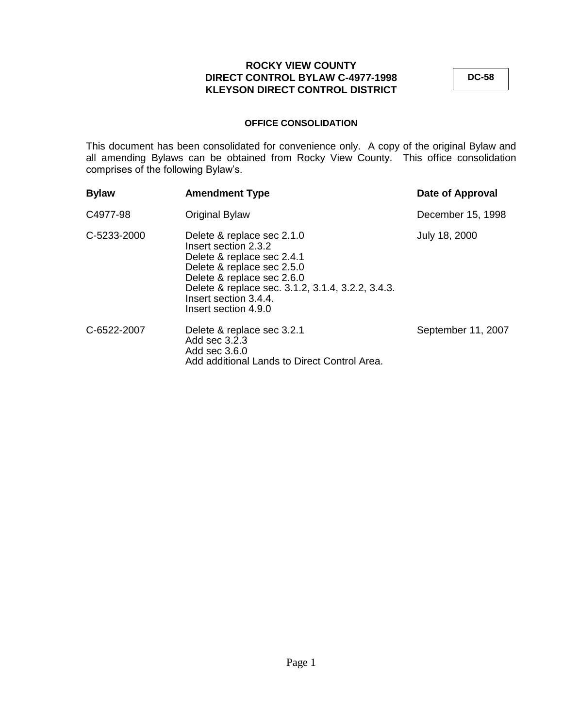**DC-58**

# **OFFICE CONSOLIDATION**

This document has been consolidated for convenience only. A copy of the original Bylaw and all amending Bylaws can be obtained from Rocky View County. This office consolidation comprises of the following Bylaw's.

| <b>Bylaw</b> | <b>Amendment Type</b>                                                                                                                                                                                                                              | Date of Approval   |
|--------------|----------------------------------------------------------------------------------------------------------------------------------------------------------------------------------------------------------------------------------------------------|--------------------|
| C4977-98     | Original Bylaw                                                                                                                                                                                                                                     | December 15, 1998  |
| C-5233-2000  | Delete & replace sec 2.1.0<br>Insert section 2.3.2<br>Delete & replace sec 2.4.1<br>Delete & replace sec 2.5.0<br>Delete & replace sec 2.6.0<br>Delete & replace sec. 3.1.2, 3.1.4, 3.2.2, 3.4.3.<br>Insert section 3.4.4.<br>Insert section 4.9.0 | July 18, 2000      |
| C-6522-2007  | Delete & replace sec 3.2.1<br>Add sec 3.2.3<br>Add sec 3.6.0<br>Add additional Lands to Direct Control Area.                                                                                                                                       | September 11, 2007 |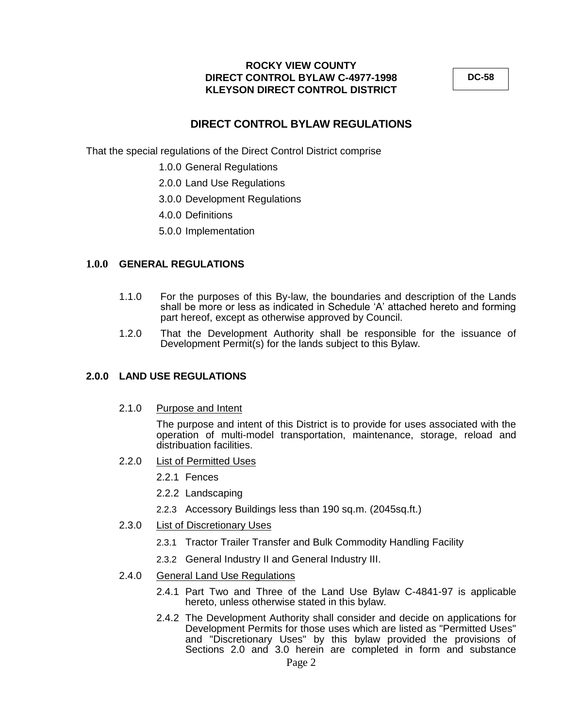**DC-58**

# **DIRECT CONTROL BYLAW REGULATIONS**

That the special regulations of the Direct Control District comprise

- 1.0.0 General Regulations
- 2.0.0 Land Use Regulations
- 3.0.0 Development Regulations
- 4.0.0 Definitions
- 5.0.0 Implementation

### **1.0.0 GENERAL REGULATIONS**

- 1.1.0 For the purposes of this By-law, the boundaries and description of the Lands shall be more or less as indicated in Schedule "A" attached hereto and forming part hereof, except as otherwise approved by Council.
- 1.2.0 That the Development Authority shall be responsible for the issuance of Development Permit(s) for the lands subject to this Bylaw.

#### **2.0.0 LAND USE REGULATIONS**

2.1.0 Purpose and Intent

The purpose and intent of this District is to provide for uses associated with the operation of multi-model transportation, maintenance, storage, reload and distribuation facilities.

- 2.2.0 List of Permitted Uses
	- 2.2.1 Fences
	- 2.2.2 Landscaping
	- 2.2.3 Accessory Buildings less than 190 sq.m. (2045sq.ft.)
- 2.3.0 List of Discretionary Uses
	- 2.3.1 Tractor Trailer Transfer and Bulk Commodity Handling Facility
	- 2.3.2 General Industry II and General Industry III.
- 2.4.0 General Land Use Regulations
	- 2.4.1 Part Two and Three of the Land Use Bylaw C-4841-97 is applicable hereto, unless otherwise stated in this bylaw.
	- 2.4.2 The Development Authority shall consider and decide on applications for Development Permits for those uses which are listed as "Permitted Uses" and "Discretionary Uses" by this bylaw provided the provisions of Sections 2.0 and 3.0 herein are completed in form and substance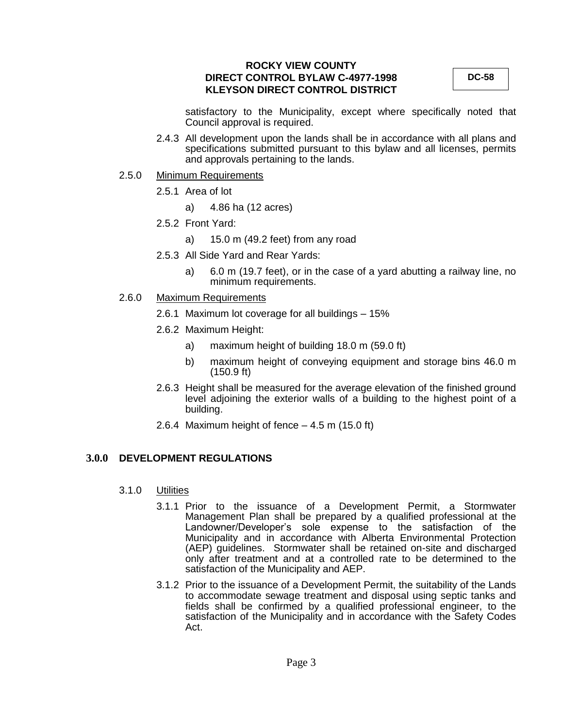**DC-58**

satisfactory to the Municipality, except where specifically noted that Council approval is required.

2.4.3 All development upon the lands shall be in accordance with all plans and specifications submitted pursuant to this bylaw and all licenses, permits and approvals pertaining to the lands.

#### 2.5.0 Minimum Requirements

- 2.5.1 Area of lot
	- a) 4.86 ha (12 acres)
- 2.5.2 Front Yard:
	- a) 15.0 m (49.2 feet) from any road
- 2.5.3 All Side Yard and Rear Yards:
	- a) 6.0 m (19.7 feet), or in the case of a yard abutting a railway line, no minimum requirements.
- 2.6.0 Maximum Requirements
	- 2.6.1 Maximum lot coverage for all buildings 15%
	- 2.6.2 Maximum Height:
		- a) maximum height of building 18.0 m (59.0 ft)
		- b) maximum height of conveying equipment and storage bins 46.0 m (150.9 ft)
	- 2.6.3 Height shall be measured for the average elevation of the finished ground level adjoining the exterior walls of a building to the highest point of a building.
	- 2.6.4 Maximum height of fence  $-4.5$  m (15.0 ft)

# **3.0.0 DEVELOPMENT REGULATIONS**

- 3.1.0 Utilities
	- 3.1.1 Prior to the issuance of a Development Permit, a Stormwater Management Plan shall be prepared by a qualified professional at the Landowner/Developer"s sole expense to the satisfaction of the Municipality and in accordance with Alberta Environmental Protection (AEP) quidelines. Stormwater shall be retained on-site and discharged only after treatment and at a controlled rate to be determined to the satisfaction of the Municipality and AEP.
	- 3.1.2 Prior to the issuance of a Development Permit, the suitability of the Lands to accommodate sewage treatment and disposal using septic tanks and fields shall be confirmed by a qualified professional engineer, to the satisfaction of the Municipality and in accordance with the Safety Codes Act.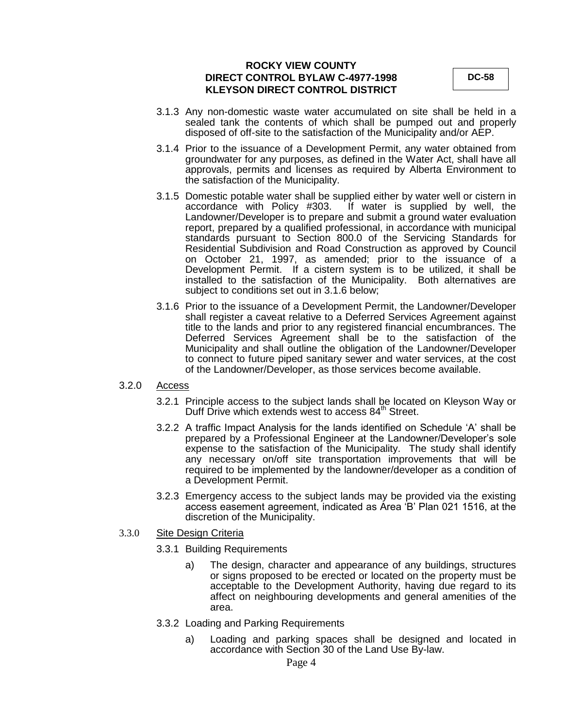**DC-58**

- 3.1.3 Any non-domestic waste water accumulated on site shall be held in a sealed tank the contents of which shall be pumped out and properly disposed of off-site to the satisfaction of the Municipality and/or AEP.
- 3.1.4 Prior to the issuance of a Development Permit, any water obtained from groundwater for any purposes, as defined in the Water Act, shall have all approvals, permits and licenses as required by Alberta Environment to the satisfaction of the Municipality.
- 3.1.5 Domestic potable water shall be supplied either by water well or cistern in accordance with Policy #303. If water is supplied by well, the If water is supplied by well, the Landowner/Developer is to prepare and submit a ground water evaluation report, prepared by a qualified professional, in accordance with municipal standards pursuant to Section 800.0 of the Servicing Standards for Residential Subdivision and Road Construction as approved by Council on October 21, 1997, as amended; prior to the issuance of a Development Permit. If a cistern system is to be utilized, it shall be installed to the satisfaction of the Municipality. Both alternatives are subject to conditions set out in 3.1.6 below;
- 3.1.6 Prior to the issuance of a Development Permit, the Landowner/Developer shall register a caveat relative to a Deferred Services Agreement against title to the lands and prior to any registered financial encumbrances. The Deferred Services Agreement shall be to the satisfaction of the Municipality and shall outline the obligation of the Landowner/Developer to connect to future piped sanitary sewer and water services, at the cost of the Landowner/Developer, as those services become available.

#### 3.2.0 Access

- 3.2.1 Principle access to the subject lands shall be located on Kleyson Way or Duff Drive which extends west to access 84<sup>th</sup> Street.
- 3.2.2 A traffic Impact Analysis for the lands identified on Schedule "A" shall be prepared by a Professional Engineer at the Landowner/Developer"s sole expense to the satisfaction of the Municipality. The study shall identify any necessary on/off site transportation improvements that will be required to be implemented by the landowner/developer as a condition of a Development Permit.
- 3.2.3 Emergency access to the subject lands may be provided via the existing access easement agreement, indicated as Area "B" Plan 021 1516, at the discretion of the Municipality.

#### 3.3.0 Site Design Criteria

- 3.3.1 Building Requirements
	- a) The design, character and appearance of any buildings, structures or signs proposed to be erected or located on the property must be acceptable to the Development Authority, having due regard to its affect on neighbouring developments and general amenities of the area.
- 3.3.2 Loading and Parking Requirements
	- a) Loading and parking spaces shall be designed and located in accordance with Section 30 of the Land Use By-law.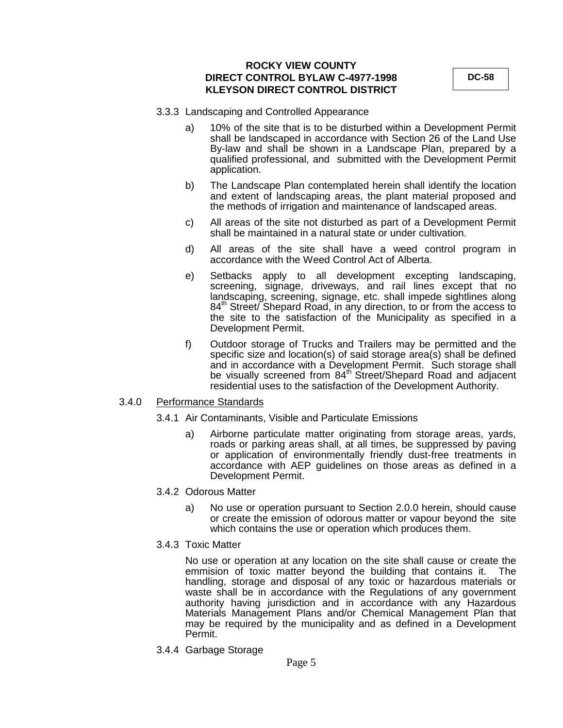**DC-58**

- 3.3.3 Landscaping and Controlled Appearance
	- a) 10% of the site that is to be disturbed within a Development Permit shall be landscaped in accordance with Section 26 of the Land Use By-law and shall be shown in a Landscape Plan, prepared by a qualified professional, and submitted with the Development Permit application.
	- b) The Landscape Plan contemplated herein shall identify the location and extent of landscaping areas, the plant material proposed and the methods of irrigation and maintenance of landscaped areas.
	- c) All areas of the site not disturbed as part of a Development Permit shall be maintained in a natural state or under cultivation.
	- d) All areas of the site shall have a weed control program in accordance with the Weed Control Act of Alberta.
	- e) Setbacks apply to all development excepting landscaping, screening, signage, driveways, and rail lines except that no landscaping, screening, signage, etc. shall impede sightlines along 84<sup>th</sup> Street/ Shepard Road, in any direction, to or from the access to the site to the satisfaction of the Municipality as specified in a Development Permit.
	- f) Outdoor storage of Trucks and Trailers may be permitted and the specific size and location(s) of said storage area(s) shall be defined and in accordance with a Development Permit. Such storage shall be visually screened from 84<sup>th</sup> Street/Shepard Road and adjacent residential uses to the satisfaction of the Development Authority.

#### 3.4.0 Performance Standards

- 3.4.1 Air Contaminants, Visible and Particulate Emissions
	- a) Airborne particulate matter originating from storage areas, yards, roads or parking areas shall, at all times, be suppressed by paving or application of environmentally friendly dust-free treatments in accordance with AEP guidelines on those areas as defined in a Development Permit.
- 3.4.2 Odorous Matter
	- a) No use or operation pursuant to Section 2.0.0 herein, should cause or create the emission of odorous matter or vapour beyond the site which contains the use or operation which produces them.
- 3.4.3 Toxic Matter

No use or operation at any location on the site shall cause or create the emmision of toxic matter beyond the building that contains it. The handling, storage and disposal of any toxic or hazardous materials or waste shall be in accordance with the Regulations of any government authority having jurisdiction and in accordance with any Hazardous Materials Management Plans and/or Chemical Management Plan that may be required by the municipality and as defined in a Development Permit.

3.4.4 Garbage Storage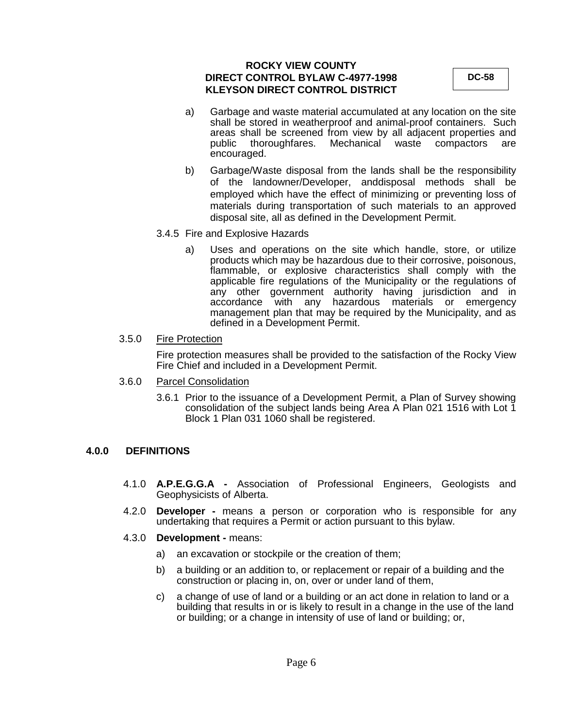**DC-58**

- a) Garbage and waste material accumulated at any location on the site shall be stored in weatherproof and animal-proof containers. Such areas shall be screened from view by all adjacent properties and public thoroughfares. Mechanical waste compactors are encouraged.
- b) Garbage/Waste disposal from the lands shall be the responsibility of the landowner/Developer, anddisposal methods shall be employed which have the effect of minimizing or preventing loss of materials during transportation of such materials to an approved disposal site, all as defined in the Development Permit.
- 3.4.5 Fire and Explosive Hazards
	- a) Uses and operations on the site which handle, store, or utilize products which may be hazardous due to their corrosive, poisonous, flammable, or explosive characteristics shall comply with the applicable fire regulations of the Municipality or the regulations of any other government authority having jurisdiction and in accordance with any hazardous materials or emergency management plan that may be required by the Municipality, and as defined in a Development Permit.

### 3.5.0 Fire Protection

Fire protection measures shall be provided to the satisfaction of the Rocky View Fire Chief and included in a Development Permit.

- 3.6.0 Parcel Consolidation
	- 3.6.1 Prior to the issuance of a Development Permit, a Plan of Survey showing consolidation of the subject lands being Area A Plan 021 1516 with Lot 1 Block 1 Plan 031 1060 shall be registered.

# **4.0.0 DEFINITIONS**

- 4.1.0 **A.P.E.G.G.A -** Association of Professional Engineers, Geologists and Geophysicists of Alberta.
- 4.2.0 **Developer -** means a person or corporation who is responsible for any undertaking that requires a Permit or action pursuant to this bylaw.
- 4.3.0 **Development -** means:
	- a) an excavation or stockpile or the creation of them;
	- b) a building or an addition to, or replacement or repair of a building and the construction or placing in, on, over or under land of them,
	- c) a change of use of land or a building or an act done in relation to land or a building that results in or is likely to result in a change in the use of the land or building; or a change in intensity of use of land or building; or,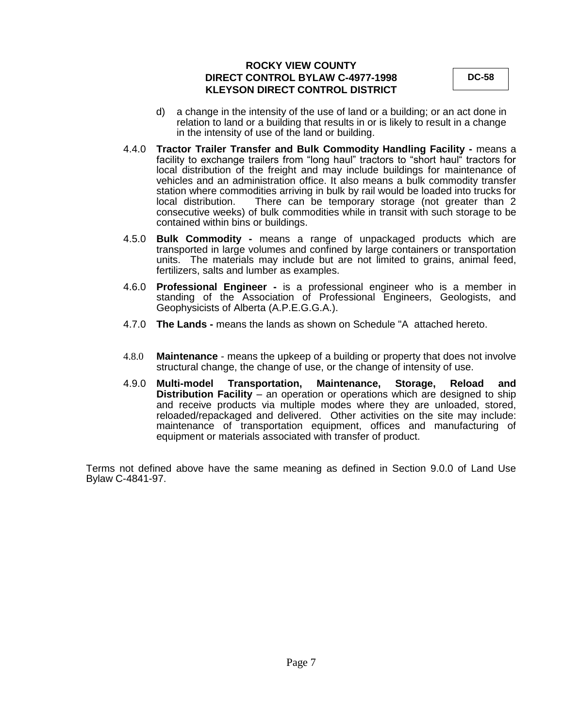**DC-58**

- d) a change in the intensity of the use of land or a building; or an act done in relation to land or a building that results in or is likely to result in a change in the intensity of use of the land or building.
- 4.4.0 **Tractor Trailer Transfer and Bulk Commodity Handling Facility -** means a facility to exchange trailers from "long haul" tractors to "short haul" tractors for local distribution of the freight and may include buildings for maintenance of vehicles and an administration office. It also means a bulk commodity transfer station where commodities arriving in bulk by rail would be loaded into trucks for There can be temporary storage (not greater than 2 consecutive weeks) of bulk commodities while in transit with such storage to be contained within bins or buildings.
- 4.5.0 **Bulk Commodity -** means a range of unpackaged products which are transported in large volumes and confined by large containers or transportation units. The materials may include but are not limited to grains, animal feed, fertilizers, salts and lumber as examples.
- 4.6.0 **Professional Engineer -** is a professional engineer who is a member in standing of the Association of Professional Engineers, Geologists, and Geophysicists of Alberta (A.P.E.G.G.A.).
- 4.7.0 **The Lands -** means the lands as shown on Schedule "A attached hereto.
- 4.8.0 **Maintenance**  means the upkeep of a building or property that does not involve structural change, the change of use, or the change of intensity of use.
- 4.9.0 **Multi-model Transportation, Maintenance, Storage, Reload and Distribution Facility** – an operation or operations which are designed to ship and receive products via multiple modes where they are unloaded, stored, reloaded/repackaged and delivered. Other activities on the site may include: maintenance of transportation equipment, offices and manufacturing of equipment or materials associated with transfer of product.

Terms not defined above have the same meaning as defined in Section 9.0.0 of Land Use Bylaw C-4841-97.